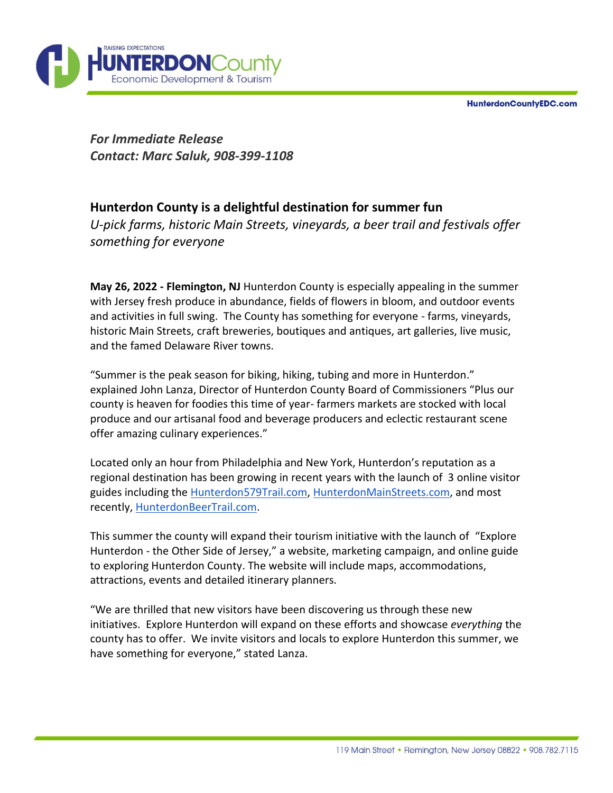**HunterdonCountyEDC.com** 



*For Immediate Release Contact: Marc Saluk, 908-399-1108*

# **Hunterdon County is a delightful destination for summer fun**

*U-pick farms, historic Main Streets, vineyards, a beer trail and festivals offer something for everyone*

**May 26, 2022 - Flemington, NJ** Hunterdon County is especially appealing in the summer with Jersey fresh produce in abundance, fields of flowers in bloom, and outdoor events and activities in full swing. The County has something for everyone - farms, vineyards, historic Main Streets, craft breweries, boutiques and antiques, art galleries, live music, and the famed Delaware River towns.

"Summer is the peak season for biking, hiking, tubing and more in Hunterdon." explained John Lanza, Director of Hunterdon County Board of Commissioners "Plus our county is heaven for foodies this time of year- farmers markets are stocked with local produce and our artisanal food and beverage producers and eclectic restaurant scene offer amazing culinary experiences."

Located only an hour from Philadelphia and New York, Hunterdon's reputation as a regional destination has been growing in recent years with the launch of 3 online visitor guides including the [Hunterdon579Trail.com,](https://hunterdon579trail.com/) [HunterdonMainStreets.com,](https://www.hunterdonmainstreets.com/) and most recently, [HunterdonBeerTrail.com.](https://hunterdonbeertrail.com/)

This summer the county will expand their tourism initiative with the launch of "Explore Hunterdon - the Other Side of Jersey," a website, marketing campaign, and online guide to exploring Hunterdon County. The website will include maps, accommodations, attractions, events and detailed itinerary planners.

"We are thrilled that new visitors have been discovering us through these new initiatives. Explore Hunterdon will expand on these efforts and showcase *everything* the county has to offer. We invite visitors and locals to explore Hunterdon this summer, we have something for everyone," stated Lanza.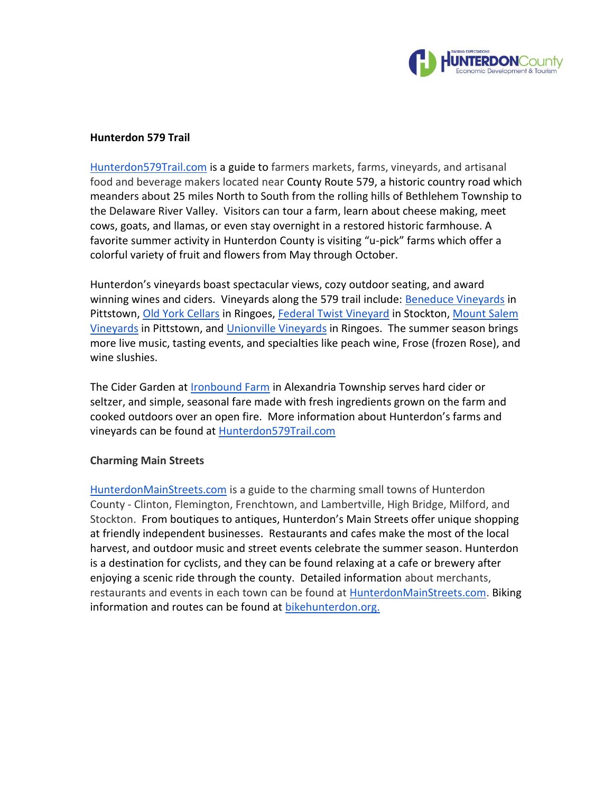

#### **Hunterdon 579 Trail**

[Hunterdon579Trail.com](https://hunterdon579trail.com/) is a guide to farmers markets, farms, vineyards, and artisanal food and beverage makers located near County Route 579, a historic country road which meanders about 25 miles North to South from the rolling hills of Bethlehem Township to the Delaware River Valley. Visitors can tour a farm, learn about cheese making, meet cows, goats, and llamas, or even stay overnight in a restored historic farmhouse. A favorite summer activity in Hunterdon County is visiting "u-pick" farms which offer a colorful variety of fruit and flowers from May through October.

Hunterdon's vineyards boast spectacular views, cozy outdoor seating, and award winning wines and ciders. Vineyards along the 579 trail include: [Beneduce Vineyards](https://beneducevineyards.com/) in Pittstown[, Old York Cellars](https://www.oldyorkcellars.com/) in Ringoes, [Federal Twist Vineyard](https://www.federaltwistvineyard.com/) in Stockton, Mount Salem [Vineyards](https://www.mountsalemvineyards.com/) in Pittstown, and [Unionville Vineyards](https://unionvillevineyards.com/) in Ringoes. The summer season brings more live music, tasting events, and specialties like peach wine, Frose (frozen Rose), and wine slushies.

The Cider Garden at [Ironbound Farm](https://www.ironboundhardcider.com/) in Alexandria Township serves hard cider or seltzer, and simple, seasonal fare made with fresh ingredients grown on the farm and cooked outdoors over an open fire. More information about Hunterdon's farms and vineyards can be found at [Hunterdon579Trail.com](https://hunterdon579trail.com/)

## **Charming Main Streets**

[HunterdonMainStreets.com](https://www.hunterdonmainstreets.com/) is a guide to the charming small towns of Hunterdon County - Clinton, Flemington, Frenchtown, and Lambertville, High Bridge, Milford, and Stockton. From boutiques to antiques, Hunterdon's Main Streets offer unique shopping at friendly independent businesses. Restaurants and cafes make the most of the local harvest, and outdoor music and street events celebrate the summer season. Hunterdon is a destination for cyclists, and they can be found relaxing at a cafe or brewery after enjoying a scenic ride through the county. Detailed information about merchants, restaurants and events in each town can be found at **HunterdonMainStreets.com**. Biking information and routes can be found at bikehunterdon.org.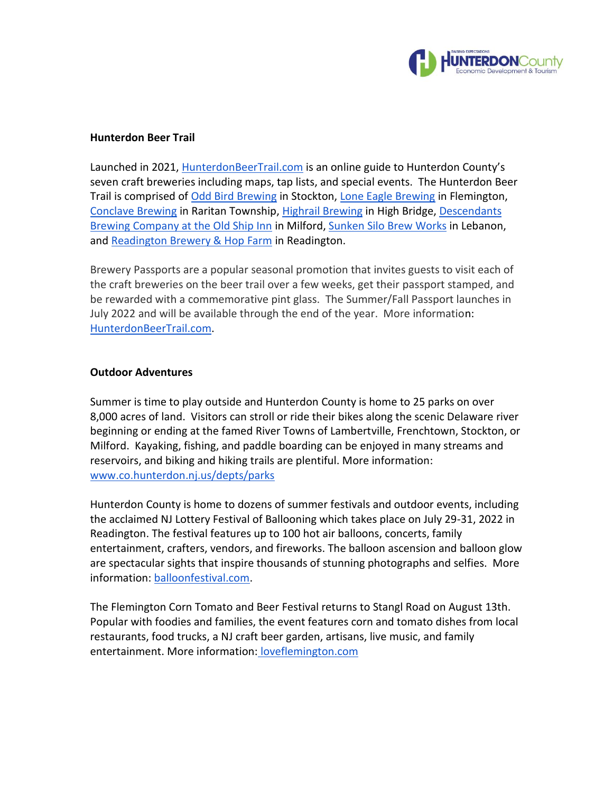

### **Hunterdon Beer Trail**

Launched in 2021, [HunterdonBeerTrail.com](https://hunterdonbeertrail.com/) is an online guide to Hunterdon County's seven craft breweries including maps, tap lists, and special events. The Hunterdon Beer Trail is comprised of [Odd Bird Brewing](https://www.oddbirdbrewing.com/) in Stockton, [Lone Eagle Brewing](https://www.loneeaglebrewing.com/) in Flemington, [Conclave Brewing](https://www.conclavebrewing.com/) in Raritan Township, [Highrail Brewing](https://www.highrailbrewing.com/) in High Bridge[, Descendants](https://www.descendantsbrewing.com/)  [Brewing Company at the Old Ship Inn](https://www.descendantsbrewing.com/) in Milford, [Sunken Silo Brew Works](https://www.sunkensilo.com/) in Lebanon, and [Readington Brewery & Hop Farm](https://readingtonbrewery.com/) in Readington.

Brewery Passports are a popular seasonal promotion that invites guests to visit each of the craft breweries on the beer trail over a few weeks, get their passport stamped, and be rewarded with a commemorative pint glass. The Summer/Fall Passport launches in July 2022 and will be available through the end of the year. More information: [HunterdonBeerTrail.com.](https://hunterdonbeertrail.com/)

### **Outdoor Adventures**

Summer is time to play outside and Hunterdon County is home to 25 parks on over 8,000 acres of land. Visitors can stroll or ride their bikes along the scenic Delaware river beginning or ending at the famed River Towns of Lambertville, Frenchtown, Stockton, or Milford. Kayaking, fishing, and paddle boarding can be enjoyed in many streams and reservoirs, and biking and hiking trails are plentiful. More information: [www.co.hunterdon.nj.us/depts/parks](https://www.co.hunterdon.nj.us/depts/parks/guides/parkareas.htm)

Hunterdon County is home to dozens of summer festivals and outdoor events, including the acclaimed NJ Lottery Festival of Ballooning which takes place on July 29-31, 2022 in Readington. The festival features up to 100 hot air balloons, concerts, family entertainment, crafters, vendors, and fireworks. The balloon ascension and balloon glow are spectacular sights that inspire thousands of stunning photographs and selfies. More information: [balloonfestival.com.](https://balloonfestival.com/)

The Flemington Corn Tomato and Beer Festival returns to Stangl Road on August 13th. Popular with foodies and families, the event features corn and tomato dishes from local restaurants, food trucks, a NJ craft beer garden, artisans, live music, and family entertainment. More information: [loveflemington.com](https://www.loveflemington.com/event/the-5th-annual-corn-tomato-and-beer-festival/)